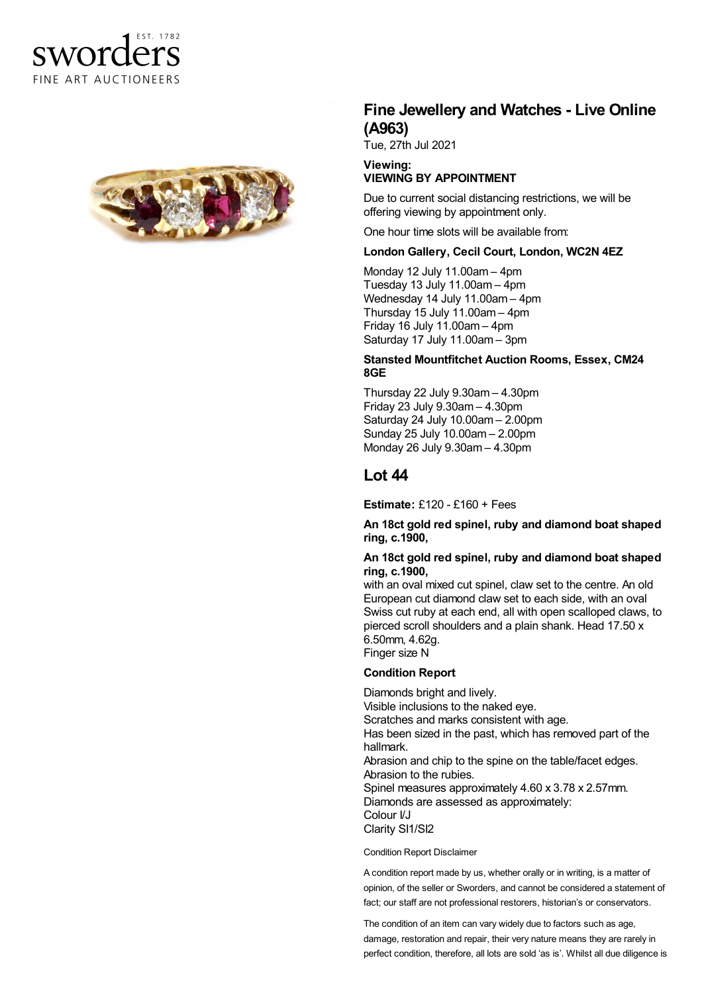



# **Fine Jewellery and Watches - Live Online (A963)**

Tue, 27th Jul 2021

#### **Viewing: VIEWING BY APPOINTMENT**

Due to current social distancing restrictions, we will be offering viewing by appointment only.

One hour time slots will be available from:

### **London Gallery, Cecil Court, London, WC2N 4EZ**

Monday 12 July 11.00am – 4pm Tuesday 13 July 11.00am – 4pm Wednesday 14 July 11.00am – 4pm Thursday 15 July 11.00am – 4pm Friday 16 July 11.00am – 4pm Saturday 17 July 11.00am – 3pm

#### **Stansted Mountfitchet Auction Rooms, Essex, CM24 8GE**

Thursday 22 July 9.30am – 4.30pm Friday 23 July 9.30am – 4.30pm Saturday 24 July 10.00am – 2.00pm Sunday 25 July 10.00am – 2.00pm Monday 26 July 9.30am – 4.30pm

## **Lot 44**

**Estimate:** £120 - £160 + Fees

**An 18ct gold red spinel, ruby and diamond boat shaped ring, c.1900,**

#### **An 18ct gold red spinel, ruby and diamond boat shaped ring, c.1900,**

with an oval mixed cut spinel, claw set to the centre. An old European cut diamond claw set to each side, with an oval Swiss cut ruby at each end, all with open scalloped claws, to pierced scroll shoulders and a plain shank. Head 17.50 x 6.50mm, 4.62g. Finger size N

#### **Condition Report**

Diamonds bright and lively. Visible inclusions to the naked eye. Scratches and marks consistent with age. Has been sized in the past, which has removed part of the hallmark. Abrasion and chip to the spine on the table/facet edges. Abrasion to the rubies. Spinel measures approximately 4.60 x 3.78 x 2.57mm. Diamonds are assessed as approximately: Colour I/J Clarity SI1/SI2

Condition Report Disclaimer

A condition report made by us, whether orally or in writing, is a matter of opinion, of the seller or Sworders, and cannot be considered a statement of fact; our staff are not professional restorers, historian's or conservators.

The condition of an item can vary widely due to factors such as age, damage, restoration and repair, their very nature means they are rarely in perfect condition, therefore, all lots are sold 'as is'. Whilst all due diligence is